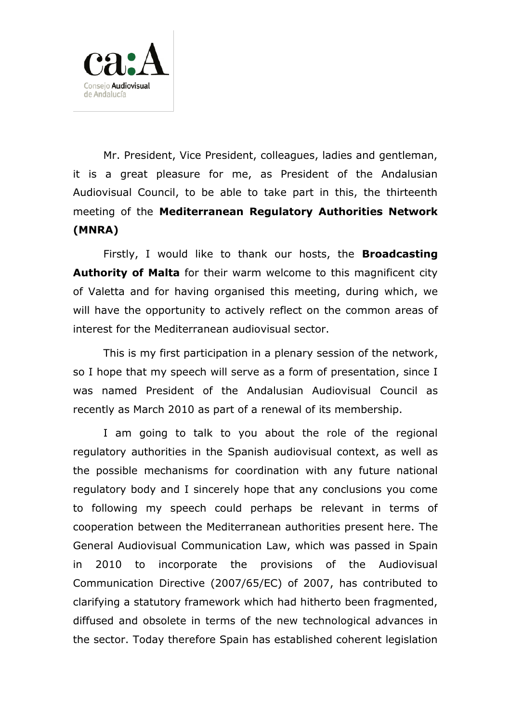

Mr. President, Vice President, colleagues, ladies and gentleman, it is a great pleasure for me, as President of the Andalusian Audiovisual Council, to be able to take part in this, the thirteenth meeting of the **Mediterranean Regulatory Authorities Network (MNRA)**

Firstly, I would like to thank our hosts, the **Broadcasting Authority of Malta** for their warm welcome to this magnificent city of Valetta and for having organised this meeting, during which, we will have the opportunity to actively reflect on the common areas of interest for the Mediterranean audiovisual sector.

This is my first participation in a plenary session of the network, so I hope that my speech will serve as a form of presentation, since I was named President of the Andalusian Audiovisual Council as recently as March 2010 as part of a renewal of its membership.

I am going to talk to you about the role of the regional regulatory authorities in the Spanish audiovisual context, as well as the possible mechanisms for coordination with any future national regulatory body and I sincerely hope that any conclusions you come to following my speech could perhaps be relevant in terms of cooperation between the Mediterranean authorities present here. The General Audiovisual Communication Law, which was passed in Spain in 2010 to incorporate the provisions of the Audiovisual Communication Directive (2007/65/EC) of 2007, has contributed to clarifying a statutory framework which had hitherto been fragmented, diffused and obsolete in terms of the new technological advances in the sector. Today therefore Spain has established coherent legislation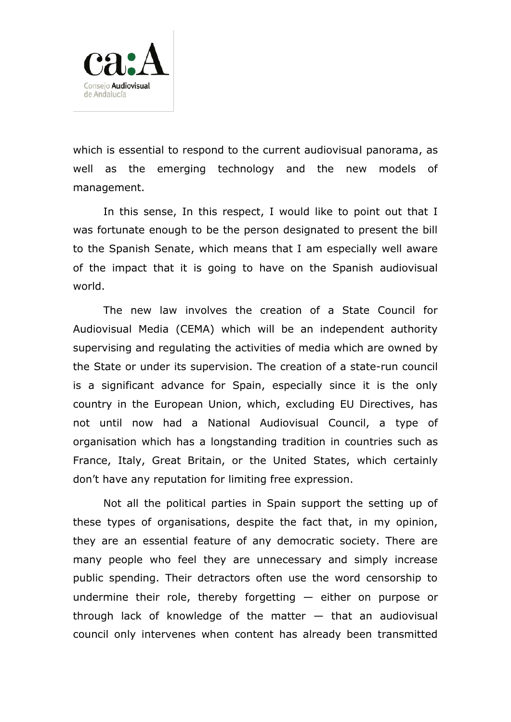

which is essential to respond to the current audiovisual panorama, as well as the emerging technology and the new models of management.

In this sense, In this respect, I would like to point out that I was fortunate enough to be the person designated to present the bill to the Spanish Senate, which means that I am especially well aware of the impact that it is going to have on the Spanish audiovisual world.

The new law involves the creation of a State Council for Audiovisual Media (CEMA) which will be an independent authority supervising and regulating the activities of media which are owned by the State or under its supervision. The creation of a state-run council is a significant advance for Spain, especially since it is the only country in the European Union, which, excluding EU Directives, has not until now had a National Audiovisual Council, a type of organisation which has a longstanding tradition in countries such as France, Italy, Great Britain, or the United States, which certainly don't have any reputation for limiting free expression.

Not all the political parties in Spain support the setting up of these types of organisations, despite the fact that, in my opinion, they are an essential feature of any democratic society. There are many people who feel they are unnecessary and simply increase public spending. Their detractors often use the word censorship to undermine their role, thereby forgetting — either on purpose or through lack of knowledge of the matter  $-$  that an audiovisual council only intervenes when content has already been transmitted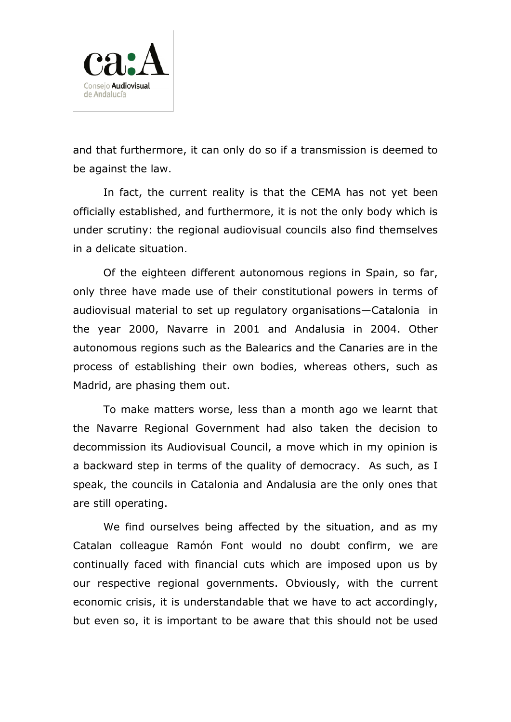

and that furthermore, it can only do so if a transmission is deemed to be against the law.

In fact, the current reality is that the CEMA has not yet been officially established, and furthermore, it is not the only body which is under scrutiny: the regional audiovisual councils also find themselves in a delicate situation.

Of the eighteen different autonomous regions in Spain, so far, only three have made use of their constitutional powers in terms of audiovisual material to set up regulatory organisations—Catalonia in the year 2000, Navarre in 2001 and Andalusia in 2004. Other autonomous regions such as the Balearics and the Canaries are in the process of establishing their own bodies, whereas others, such as Madrid, are phasing them out.

To make matters worse, less than a month ago we learnt that the Navarre Regional Government had also taken the decision to decommission its Audiovisual Council, a move which in my opinion is a backward step in terms of the quality of democracy. As such, as I speak, the councils in Catalonia and Andalusia are the only ones that are still operating.

We find ourselves being affected by the situation, and as my Catalan colleague Ramón Font would no doubt confirm, we are continually faced with financial cuts which are imposed upon us by our respective regional governments. Obviously, with the current economic crisis, it is understandable that we have to act accordingly, but even so, it is important to be aware that this should not be used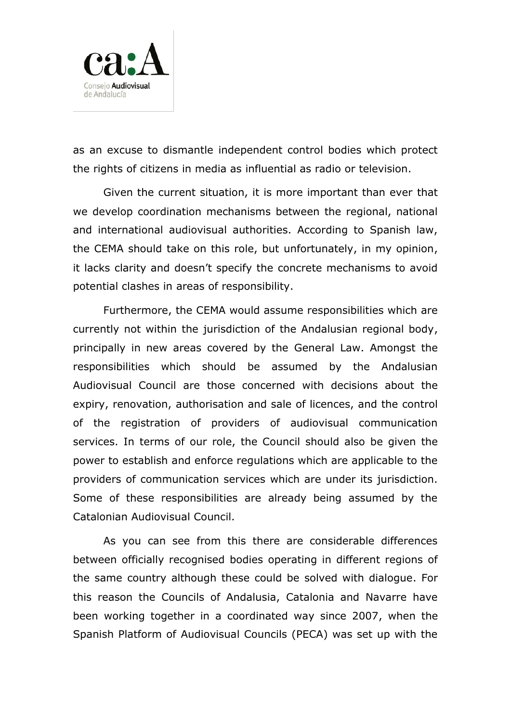

as an excuse to dismantle independent control bodies which protect the rights of citizens in media as influential as radio or television.

Given the current situation, it is more important than ever that we develop coordination mechanisms between the regional, national and international audiovisual authorities. According to Spanish law, the CEMA should take on this role, but unfortunately, in my opinion, it lacks clarity and doesn't specify the concrete mechanisms to avoid potential clashes in areas of responsibility.

Furthermore, the CEMA would assume responsibilities which are currently not within the jurisdiction of the Andalusian regional body, principally in new areas covered by the General Law. Amongst the responsibilities which should be assumed by the Andalusian Audiovisual Council are those concerned with decisions about the expiry, renovation, authorisation and sale of licences, and the control of the registration of providers of audiovisual communication services. In terms of our role, the Council should also be given the power to establish and enforce regulations which are applicable to the providers of communication services which are under its jurisdiction. Some of these responsibilities are already being assumed by the Catalonian Audiovisual Council.

As you can see from this there are considerable differences between officially recognised bodies operating in different regions of the same country although these could be solved with dialogue. For this reason the Councils of Andalusia, Catalonia and Navarre have been working together in a coordinated way since 2007, when the Spanish Platform of Audiovisual Councils (PECA) was set up with the